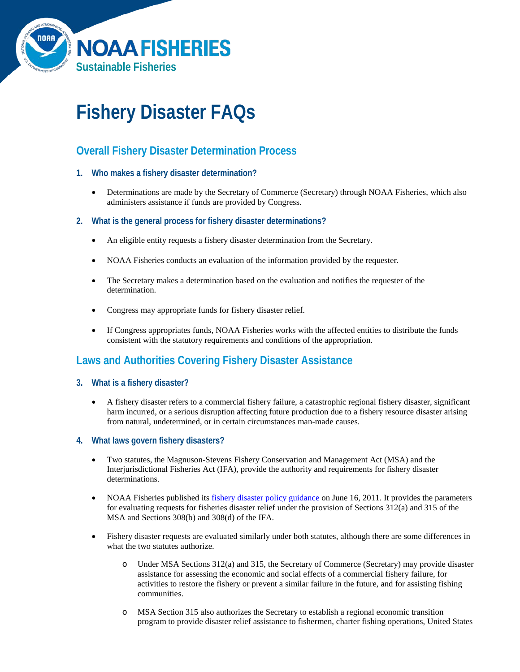

# **Fishery Disaster FAQs**

## **Overall Fishery Disaster Determination Process**

- **1. Who makes a fishery disaster determination?**
	- Determinations are made by the Secretary of Commerce (Secretary) through NOAA Fisheries, which also administers assistance if funds are provided by Congress.
- **2. What is the general process for fishery disaster determinations?**
	- An eligible entity requests a fishery disaster determination from the Secretary.
	- NOAA Fisheries conducts an evaluation of the information provided by the requester.
	- The Secretary makes a determination based on the evaluation and notifies the requester of the determination.
	- Congress may appropriate funds for fishery disaster relief.
	- If Congress appropriates funds, NOAA Fisheries works with the affected entities to distribute the funds consistent with the statutory requirements and conditions of the appropriation.

## **Laws and Authorities Covering Fishery Disaster Assistance**

- **3. What is a fishery disaster?**
	- A fishery disaster refers to a commercial fishery failure, a catastrophic regional fishery disaster, significant harm incurred, or a serious disruption affecting future production due to a fishery resource disaster arising from natural, undetermined, or in certain circumstances man-made causes.
- **4. What laws govern fishery disasters?**
	- Two statutes, the Magnuson-Stevens Fishery Conservation and Management Act (MSA) and the Interjurisdictional Fisheries Act (IFA), provide the authority and requirements for fishery disaster determinations.
	- NOAA Fisheries published its [fishery disaster policy guidance](http://www.nmfs.noaa.gov/sfa/management/disaster/disaster_policy.pdf) on June 16, 2011. It provides the parameters for evaluating requests for fisheries disaster relief under the provision of Sections 312(a) and 315 of the MSA and Sections 308(b) and 308(d) of the IFA.
	- Fishery disaster requests are evaluated similarly under both statutes, although there are some differences in what the two statutes authorize.
		- o Under MSA Sections 312(a) and 315, the Secretary of Commerce (Secretary) may provide disaster assistance for assessing the economic and social effects of a commercial fishery failure, for activities to restore the fishery or prevent a similar failure in the future, and for assisting fishing communities.
		- o MSA Section 315 also authorizes the Secretary to establish a regional economic transition program to provide disaster relief assistance to fishermen, charter fishing operations, United States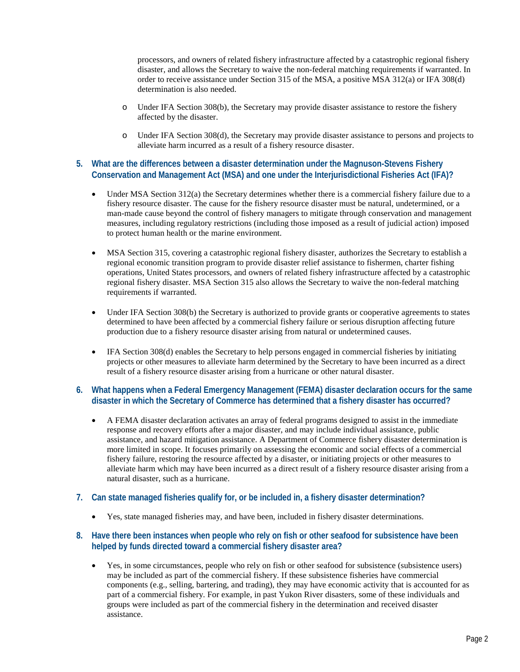processors, and owners of related fishery infrastructure affected by a catastrophic regional fishery disaster, and allows the Secretary to waive the non-federal matching requirements if warranted. In order to receive assistance under Section 315 of the MSA, a positive MSA 312(a) or IFA 308(d) determination is also needed.

- o Under IFA Section 308(b), the Secretary may provide disaster assistance to restore the fishery affected by the disaster.
- o Under IFA Section 308(d), the Secretary may provide disaster assistance to persons and projects to alleviate harm incurred as a result of a fishery resource disaster.

#### **5. What are the differences between a disaster determination under the Magnuson-Stevens Fishery Conservation and Management Act (MSA) and one under the Interjurisdictional Fisheries Act (IFA)?**

- Under MSA Section 312(a) the Secretary determines whether there is a commercial fishery failure due to a fishery resource disaster. The cause for the fishery resource disaster must be natural, undetermined, or a man-made cause beyond the control of fishery managers to mitigate through conservation and management measures, including regulatory restrictions (including those imposed as a result of judicial action) imposed to protect human health or the marine environment.
- MSA Section 315, covering a catastrophic regional fishery disaster, authorizes the Secretary to establish a regional economic transition program to provide disaster relief assistance to fishermen, charter fishing operations, United States processors, and owners of related fishery infrastructure affected by a catastrophic regional fishery disaster. MSA Section 315 also allows the Secretary to waive the non-federal matching requirements if warranted.
- Under IFA Section 308(b) the Secretary is authorized to provide grants or cooperative agreements to states determined to have been affected by a commercial fishery failure or serious disruption affecting future production due to a fishery resource disaster arising from natural or undetermined causes.
- IFA Section 308(d) enables the Secretary to help persons engaged in commercial fisheries by initiating projects or other measures to alleviate harm determined by the Secretary to have been incurred as a direct result of a fishery resource disaster arising from a hurricane or other natural disaster.

#### **6. What happens when a Federal Emergency Management (FEMA) disaster declaration occurs for the same disaster in which the Secretary of Commerce has determined that a fishery disaster has occurred?**

• A FEMA disaster declaration activates an array of federal programs designed to assist in the immediate response and recovery efforts after a major disaster, and may include individual assistance, public assistance, and hazard mitigation assistance. A Department of Commerce fishery disaster determination is more limited in scope. It focuses primarily on assessing the economic and social effects of a commercial fishery failure, restoring the resource affected by a disaster, or initiating projects or other measures to alleviate harm which may have been incurred as a direct result of a fishery resource disaster arising from a natural disaster, such as a hurricane.

#### **7. Can state managed fisheries qualify for, or be included in, a fishery disaster determination?**

• Yes, state managed fisheries may, and have been, included in fishery disaster determinations.

#### **8. Have there been instances when people who rely on fish or other seafood for subsistence have been helped by funds directed toward a commercial fishery disaster area?**

• Yes, in some circumstances, people who rely on fish or other seafood for subsistence (subsistence users) may be included as part of the commercial fishery. If these subsistence fisheries have commercial components (e.g., selling, bartering, and trading), they may have economic activity that is accounted for as part of a commercial fishery. For example, in past Yukon River disasters, some of these individuals and groups were included as part of the commercial fishery in the determination and received disaster assistance.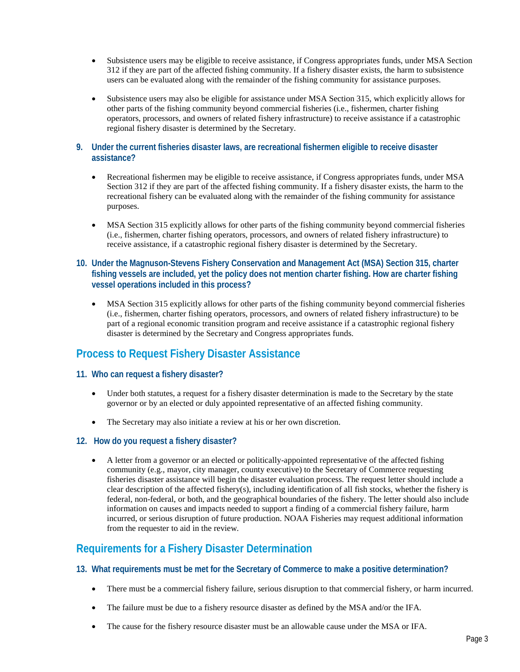- Subsistence users may be eligible to receive assistance, if Congress appropriates funds, under MSA Section 312 if they are part of the affected fishing community. If a fishery disaster exists, the harm to subsistence users can be evaluated along with the remainder of the fishing community for assistance purposes.
- Subsistence users may also be eligible for assistance under MSA Section 315, which explicitly allows for other parts of the fishing community beyond commercial fisheries (i.e., fishermen, charter fishing operators, processors, and owners of related fishery infrastructure) to receive assistance if a catastrophic regional fishery disaster is determined by the Secretary.
- **9. Under the current fisheries disaster laws, are recreational fishermen eligible to receive disaster assistance?**
	- Recreational fishermen may be eligible to receive assistance, if Congress appropriates funds, under MSA Section 312 if they are part of the affected fishing community. If a fishery disaster exists, the harm to the recreational fishery can be evaluated along with the remainder of the fishing community for assistance purposes.
	- MSA Section 315 explicitly allows for other parts of the fishing community beyond commercial fisheries (i.e., fishermen, charter fishing operators, processors, and owners of related fishery infrastructure) to receive assistance, if a catastrophic regional fishery disaster is determined by the Secretary.
- **10. Under the Magnuson-Stevens Fishery Conservation and Management Act (MSA) Section 315, charter fishing vessels are included, yet the policy does not mention charter fishing. How are charter fishing vessel operations included in this process?**
	- MSA Section 315 explicitly allows for other parts of the fishing community beyond commercial fisheries (i.e., fishermen, charter fishing operators, processors, and owners of related fishery infrastructure) to be part of a regional economic transition program and receive assistance if a catastrophic regional fishery disaster is determined by the Secretary and Congress appropriates funds.

# **Process to Request Fishery Disaster Assistance**

#### **11. Who can request a fishery disaster?**

- Under both statutes, a request for a fishery disaster determination is made to the Secretary by the state governor or by an elected or duly appointed representative of an affected fishing community.
- The Secretary may also initiate a review at his or her own discretion.
- **12. How do you request a fishery disaster?**
	- A letter from a governor or an elected or politically-appointed representative of the affected fishing community (e.g., mayor, city manager, county executive) to the Secretary of Commerce requesting fisheries disaster assistance will begin the disaster evaluation process. The request letter should include a clear description of the affected fishery(s), including identification of all fish stocks, whether the fishery is federal, non-federal, or both, and the geographical boundaries of the fishery. The letter should also include information on causes and impacts needed to support a finding of a commercial fishery failure, harm incurred, or serious disruption of future production. NOAA Fisheries may request additional information from the requester to aid in the review.

### **Requirements for a Fishery Disaster Determination**

- **13. What requirements must be met for the Secretary of Commerce to make a positive determination?**
	- There must be a commercial fishery failure, serious disruption to that commercial fishery, or harm incurred.
	- The failure must be due to a fishery resource disaster as defined by the MSA and/or the IFA.
	- The cause for the fishery resource disaster must be an allowable cause under the MSA or IFA.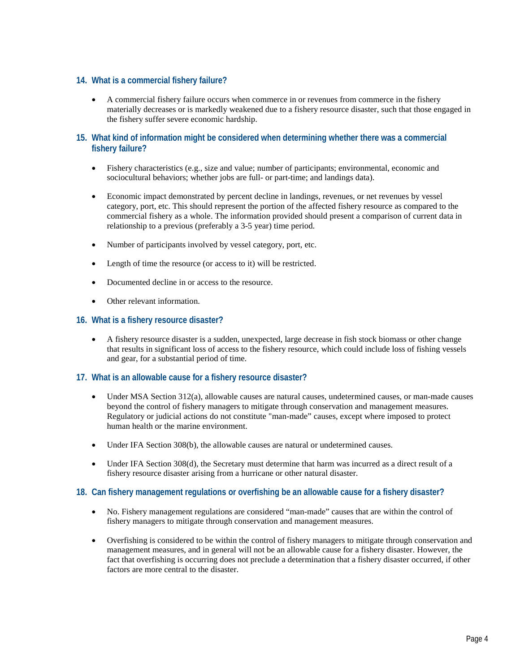#### **14. What is a commercial fishery failure?**

• A commercial fishery failure occurs when commerce in or revenues from commerce in the fishery materially decreases or is markedly weakened due to a fishery resource disaster, such that those engaged in the fishery suffer severe economic hardship.

#### **15. What kind of information might be considered when determining whether there was a commercial fishery failure?**

- Fishery characteristics (e.g., size and value; number of participants; environmental, economic and sociocultural behaviors; whether jobs are full- or part-time; and landings data).
- Economic impact demonstrated by percent decline in landings, revenues, or net revenues by vessel category, port, etc. This should represent the portion of the affected fishery resource as compared to the commercial fishery as a whole. The information provided should present a comparison of current data in relationship to a previous (preferably a 3-5 year) time period.
- Number of participants involved by vessel category, port, etc.
- Length of time the resource (or access to it) will be restricted.
- Documented decline in or access to the resource.
- Other relevant information.

#### **16. What is a fishery resource disaster?**

• A fishery resource disaster is a sudden, unexpected, large decrease in fish stock biomass or other change that results in significant loss of access to the fishery resource, which could include loss of fishing vessels and gear, for a substantial period of time.

#### **17. What is an allowable cause for a fishery resource disaster?**

- Under MSA Section 312(a), allowable causes are natural causes, undetermined causes, or man-made causes beyond the control of fishery managers to mitigate through conservation and management measures. Regulatory or judicial actions do not constitute "man-made" causes, except where imposed to protect human health or the marine environment.
- Under IFA Section 308(b), the allowable causes are natural or undetermined causes.
- Under IFA Section 308(d), the Secretary must determine that harm was incurred as a direct result of a fishery resource disaster arising from a hurricane or other natural disaster.

#### **18. Can fishery management regulations or overfishing be an allowable cause for a fishery disaster?**

- No. Fishery management regulations are considered "man-made" causes that are within the control of fishery managers to mitigate through conservation and management measures.
- Overfishing is considered to be within the control of fishery managers to mitigate through conservation and management measures, and in general will not be an allowable cause for a fishery disaster. However, the fact that overfishing is occurring does not preclude a determination that a fishery disaster occurred, if other factors are more central to the disaster.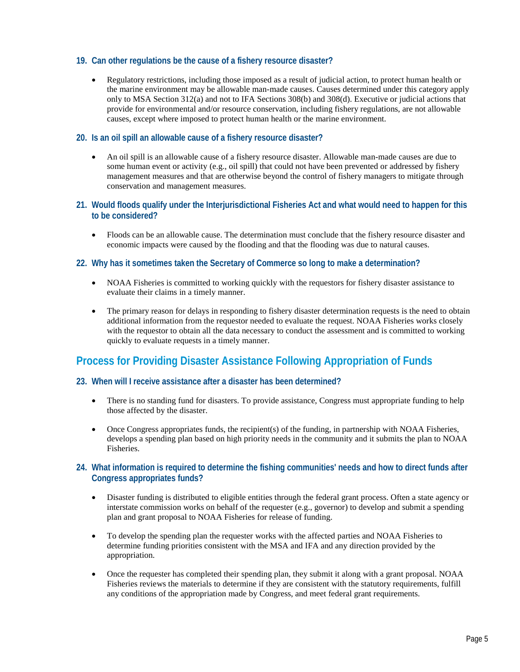#### **19. Can other regulations be the cause of a fishery resource disaster?**

• Regulatory restrictions, including those imposed as a result of judicial action, to protect human health or the marine environment may be allowable man-made causes. Causes determined under this category apply only to MSA Section 312(a) and not to IFA Sections 308(b) and 308(d). Executive or judicial actions that provide for environmental and/or resource conservation, including fishery regulations, are not allowable causes, except where imposed to protect human health or the marine environment.

#### **20. Is an oil spill an allowable cause of a fishery resource disaster?**

- An oil spill is an allowable cause of a fishery resource disaster. Allowable man-made causes are due to some human event or activity (e.g., oil spill) that could not have been prevented or addressed by fishery management measures and that are otherwise beyond the control of fishery managers to mitigate through conservation and management measures.
- **21. Would floods qualify under the Interjurisdictional Fisheries Act and what would need to happen for this to be considered?**
	- Floods can be an allowable cause. The determination must conclude that the fishery resource disaster and economic impacts were caused by the flooding and that the flooding was due to natural causes.

#### **22. Why has it sometimes taken the Secretary of Commerce so long to make a determination?**

- NOAA Fisheries is committed to working quickly with the requestors for fishery disaster assistance to evaluate their claims in a timely manner.
- The primary reason for delays in responding to fishery disaster determination requests is the need to obtain additional information from the requestor needed to evaluate the request. NOAA Fisheries works closely with the requestor to obtain all the data necessary to conduct the assessment and is committed to working quickly to evaluate requests in a timely manner.

## **Process for Providing Disaster Assistance Following Appropriation of Funds**

#### **23. When will I receive assistance after a disaster has been determined?**

- There is no standing fund for disasters. To provide assistance, Congress must appropriate funding to help those affected by the disaster.
- Once Congress appropriates funds, the recipient(s) of the funding, in partnership with NOAA Fisheries, develops a spending plan based on high priority needs in the community and it submits the plan to NOAA Fisheries.

#### **24. What information is required to determine the fishing communities' needs and how to direct funds after Congress appropriates funds?**

- Disaster funding is distributed to eligible entities through the federal grant process. Often a state agency or interstate commission works on behalf of the requester (e.g., governor) to develop and submit a spending plan and grant proposal to NOAA Fisheries for release of funding.
- To develop the spending plan the requester works with the affected parties and NOAA Fisheries to determine funding priorities consistent with the MSA and IFA and any direction provided by the appropriation.
- Once the requester has completed their spending plan, they submit it along with a grant proposal. NOAA Fisheries reviews the materials to determine if they are consistent with the statutory requirements, fulfill any conditions of the appropriation made by Congress, and meet federal grant requirements.